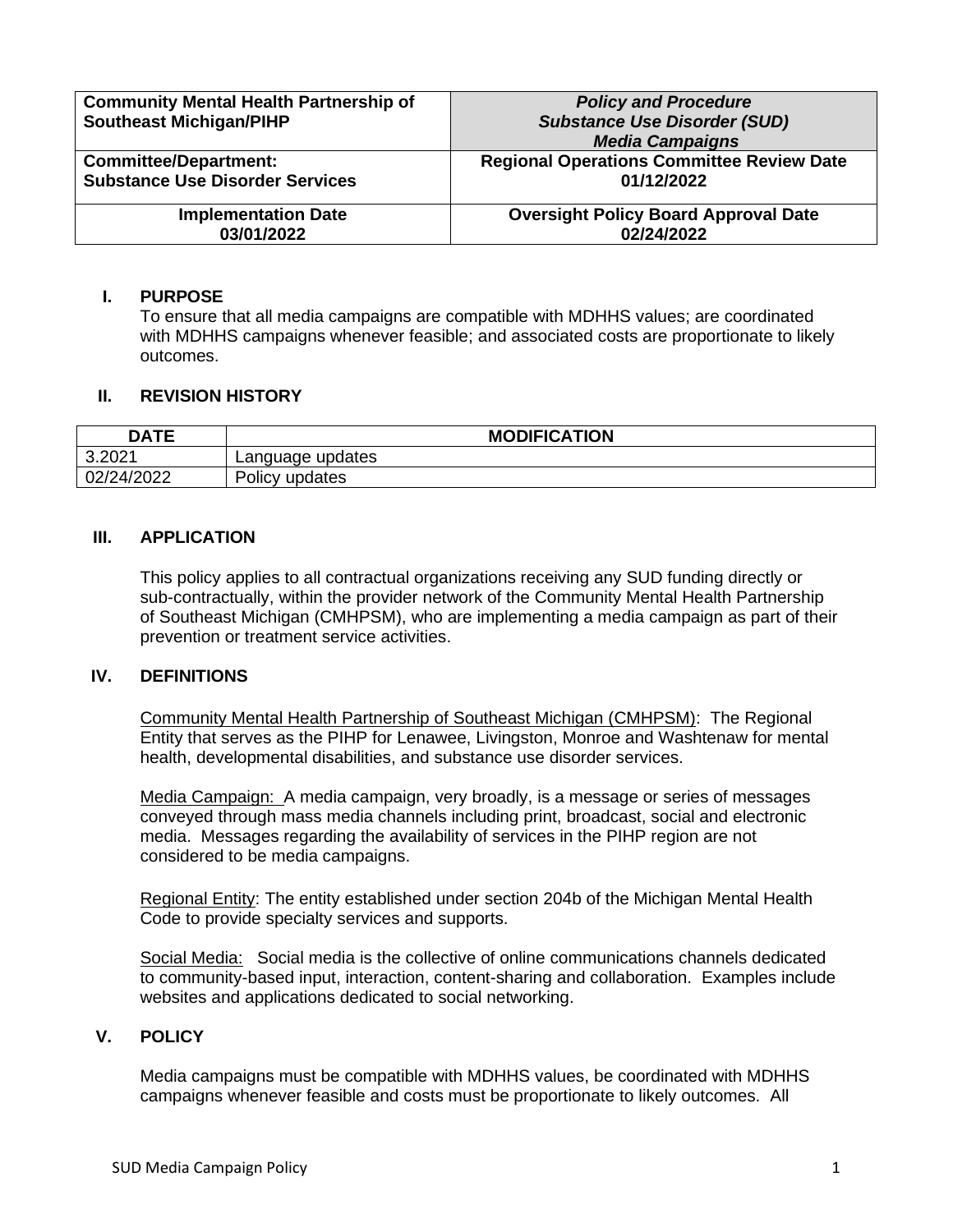| <b>Community Mental Health Partnership of</b> | <b>Policy and Procedure</b>                      |
|-----------------------------------------------|--------------------------------------------------|
| <b>Southeast Michigan/PIHP</b>                | <b>Substance Use Disorder (SUD)</b>              |
|                                               | <b>Media Campaigns</b>                           |
| <b>Committee/Department:</b>                  | <b>Regional Operations Committee Review Date</b> |
| <b>Substance Use Disorder Services</b>        | 01/12/2022                                       |
| <b>Implementation Date</b>                    | <b>Oversight Policy Board Approval Date</b>      |
| 03/01/2022                                    | 02/24/2022                                       |

### **I. PURPOSE**

To ensure that all media campaigns are compatible with MDHHS values; are coordinated with MDHHS campaigns whenever feasible; and associated costs are proportionate to likely outcomes.

## **II. REVISION HISTORY**

| <b>DATE</b> | <b>MODIFICATION</b> |  |
|-------------|---------------------|--|
| 3.2021      | Language updates    |  |
| 02/24/2022  | Policy updates      |  |

## **III. APPLICATION**

This policy applies to all contractual organizations receiving any SUD funding directly or sub-contractually, within the provider network of the Community Mental Health Partnership of Southeast Michigan (CMHPSM), who are implementing a media campaign as part of their prevention or treatment service activities.

### **IV. DEFINITIONS**

Community Mental Health Partnership of Southeast Michigan (CMHPSM): The Regional Entity that serves as the PIHP for Lenawee, Livingston, Monroe and Washtenaw for mental health, developmental disabilities, and substance use disorder services.

Media Campaign: A media campaign, very broadly, is a message or series of messages conveyed through mass media channels including print, broadcast, social and electronic media. Messages regarding the availability of services in the PIHP region are not considered to be media campaigns.

Regional Entity: The entity established under section 204b of the Michigan Mental Health Code to provide specialty services and supports.

Social Media: Social media is the collective of online communications channels dedicated to community-based input, interaction, content-sharing and collaboration.Examples include websites and applications dedicated to social networking.

### **V. POLICY**

Media campaigns must be compatible with MDHHS values, be coordinated with MDHHS campaigns whenever feasible and costs must be proportionate to likely outcomes. All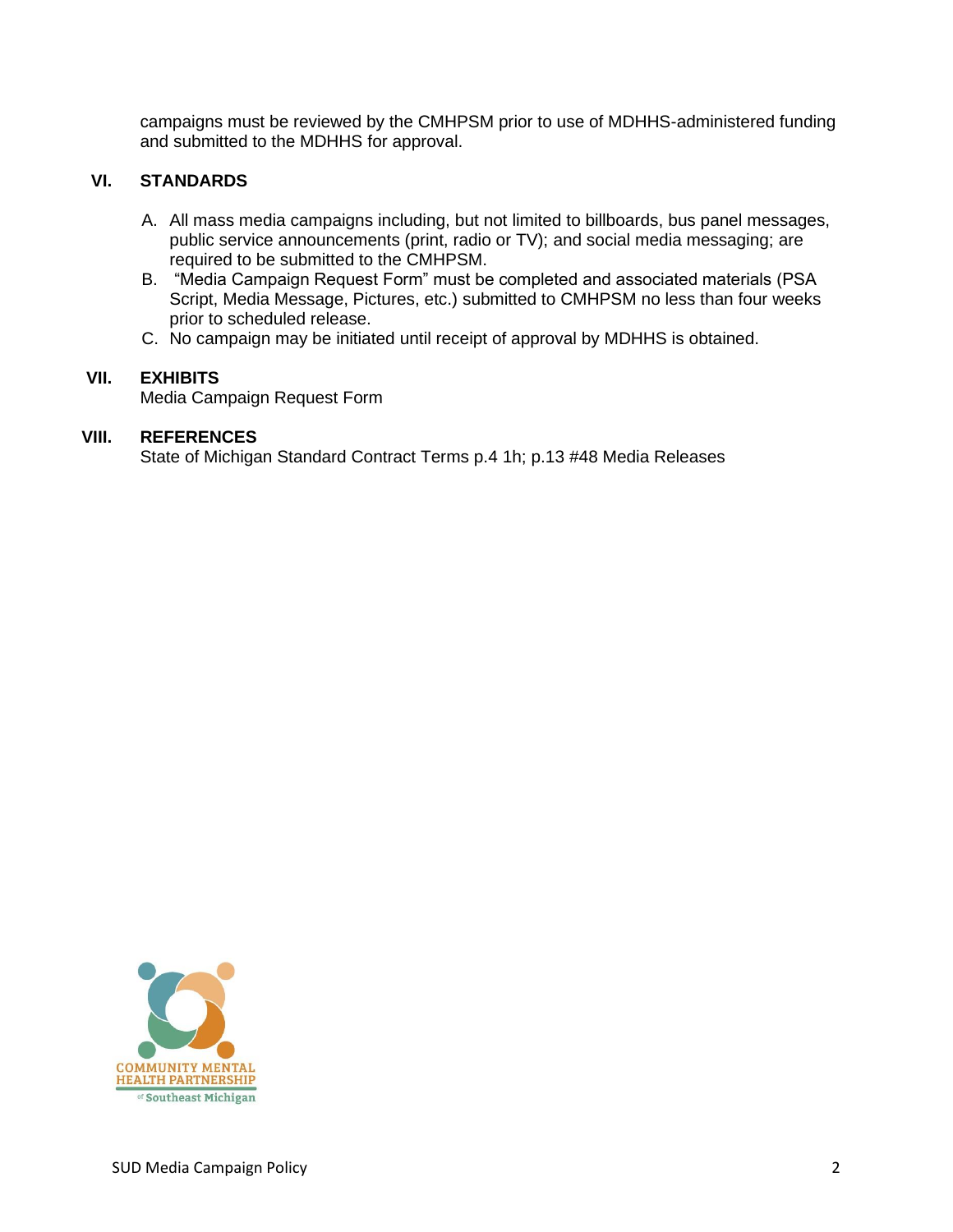campaigns must be reviewed by the CMHPSM prior to use of MDHHS-administered funding and submitted to the MDHHS for approval.

# **VI. STANDARDS**

- A. All mass media campaigns including, but not limited to billboards, bus panel messages, public service announcements (print, radio or TV); and social media messaging; are required to be submitted to the CMHPSM.
- B. "Media Campaign Request Form" must be completed and associated materials (PSA Script, Media Message, Pictures, etc.) submitted to CMHPSM no less than four weeks prior to scheduled release.
- C. No campaign may be initiated until receipt of approval by MDHHS is obtained.

# **VII. EXHIBITS**

Media Campaign Request Form

## **VIII. REFERENCES**

State of Michigan Standard Contract Terms p.4 1h; p.13 #48 Media Releases